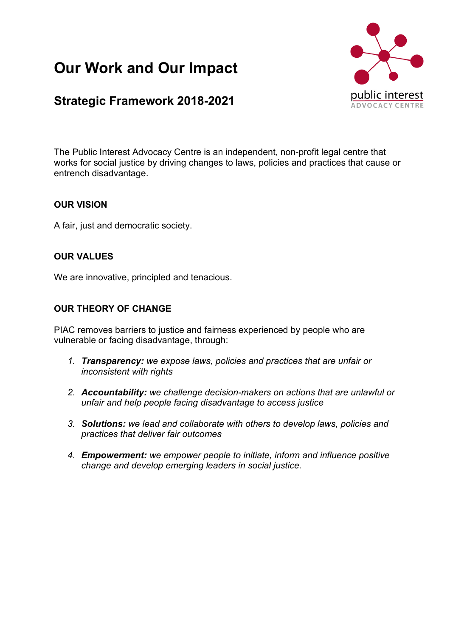# **Our Work and Our Impact**

# **Strategic Framework 2018-2021**



The Public Interest Advocacy Centre is an independent, non-profit legal centre that works for social justice by driving changes to laws, policies and practices that cause or entrench disadvantage.

# **OUR VISION**

A fair, just and democratic society.

# **OUR VALUES**

We are innovative, principled and tenacious.

# **OUR THEORY OF CHANGE**

PIAC removes barriers to justice and fairness experienced by people who are vulnerable or facing disadvantage, through:

- *1. Transparency: we expose laws, policies and practices that are unfair or inconsistent with rights*
- *2. Accountability: we challenge decision-makers on actions that are unlawful or unfair and help people facing disadvantage to access justice*
- *3. Solutions: we lead and collaborate with others to develop laws, policies and practices that deliver fair outcomes*
- *4. Empowerment: we empower people to initiate, inform and influence positive change and develop emerging leaders in social justice.*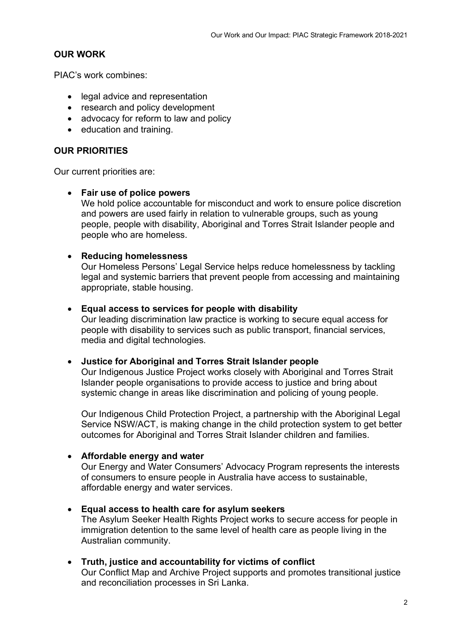# **OUR WORK**

PIAC's work combines:

- legal advice and representation
- research and policy development
- advocacy for reform to law and policy
- education and training.

#### **OUR PRIORITIES**

Our current priorities are:

#### • **Fair use of police powers**

We hold police accountable for misconduct and work to ensure police discretion and powers are used fairly in relation to vulnerable groups, such as young people, people with disability, Aboriginal and Torres Strait Islander people and people who are homeless.

#### • **Reducing homelessness**

Our Homeless Persons' Legal Service helps reduce homelessness by tackling legal and systemic barriers that prevent people from accessing and maintaining appropriate, stable housing.

#### • **Equal access to services for people with disability**

Our leading discrimination law practice is working to secure equal access for people with disability to services such as public transport, financial services, media and digital technologies.

#### • **Justice for Aboriginal and Torres Strait Islander people**

Our Indigenous Justice Project works closely with Aboriginal and Torres Strait Islander people organisations to provide access to justice and bring about systemic change in areas like discrimination and policing of young people.

Our Indigenous Child Protection Project, a partnership with the Aboriginal Legal Service NSW/ACT, is making change in the child protection system to get better outcomes for Aboriginal and Torres Strait Islander children and families.

#### • **Affordable energy and water**

Our Energy and Water Consumers' Advocacy Program represents the interests of consumers to ensure people in Australia have access to sustainable, affordable energy and water services.

#### • **Equal access to health care for asylum seekers**

The Asylum Seeker Health Rights Project works to secure access for people in immigration detention to the same level of health care as people living in the Australian community.

#### • **Truth, justice and accountability for victims of conflict**

Our Conflict Map and Archive Project supports and promotes transitional justice and reconciliation processes in Sri Lanka.